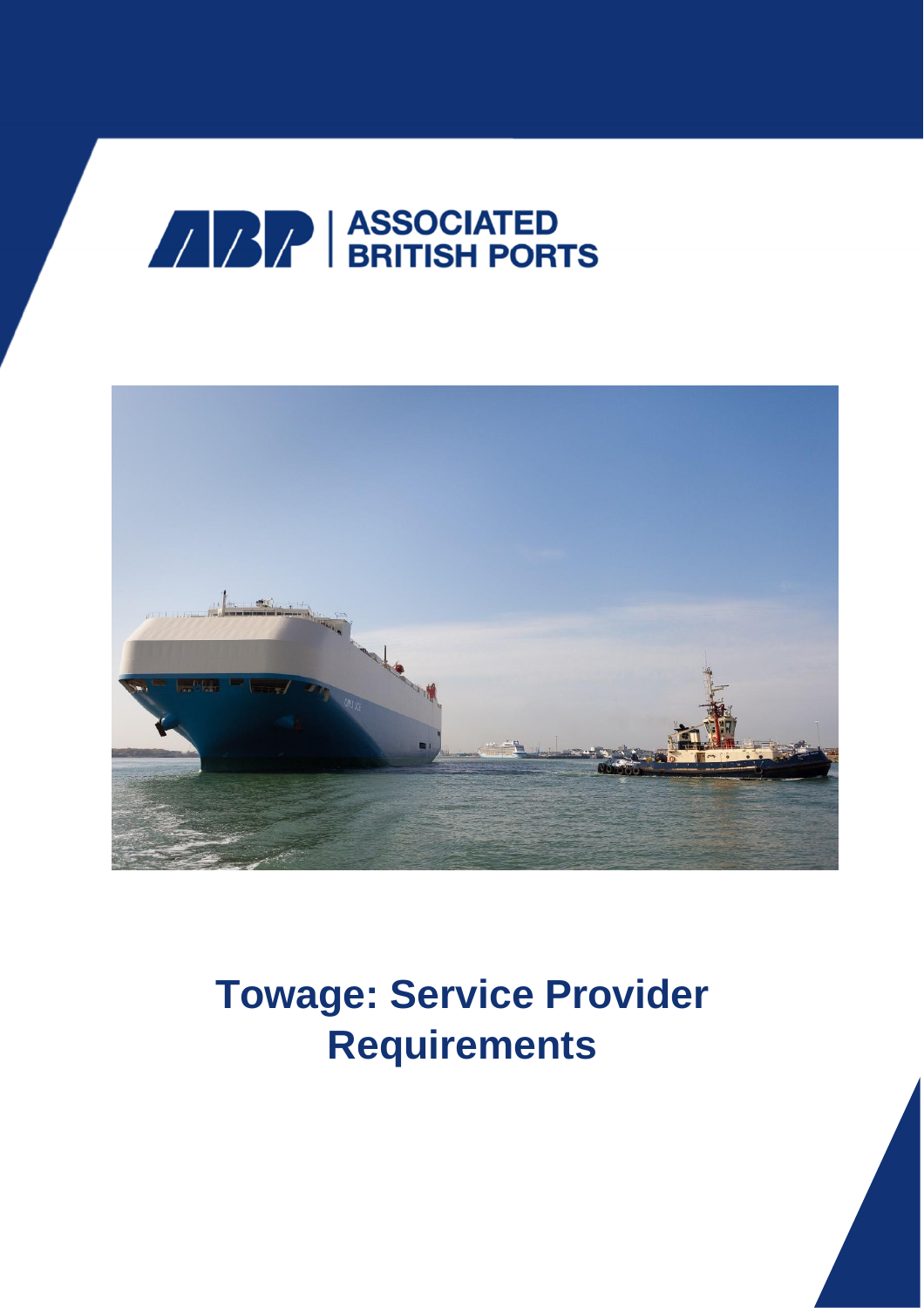



# **Towage: Service Provider Requirements**

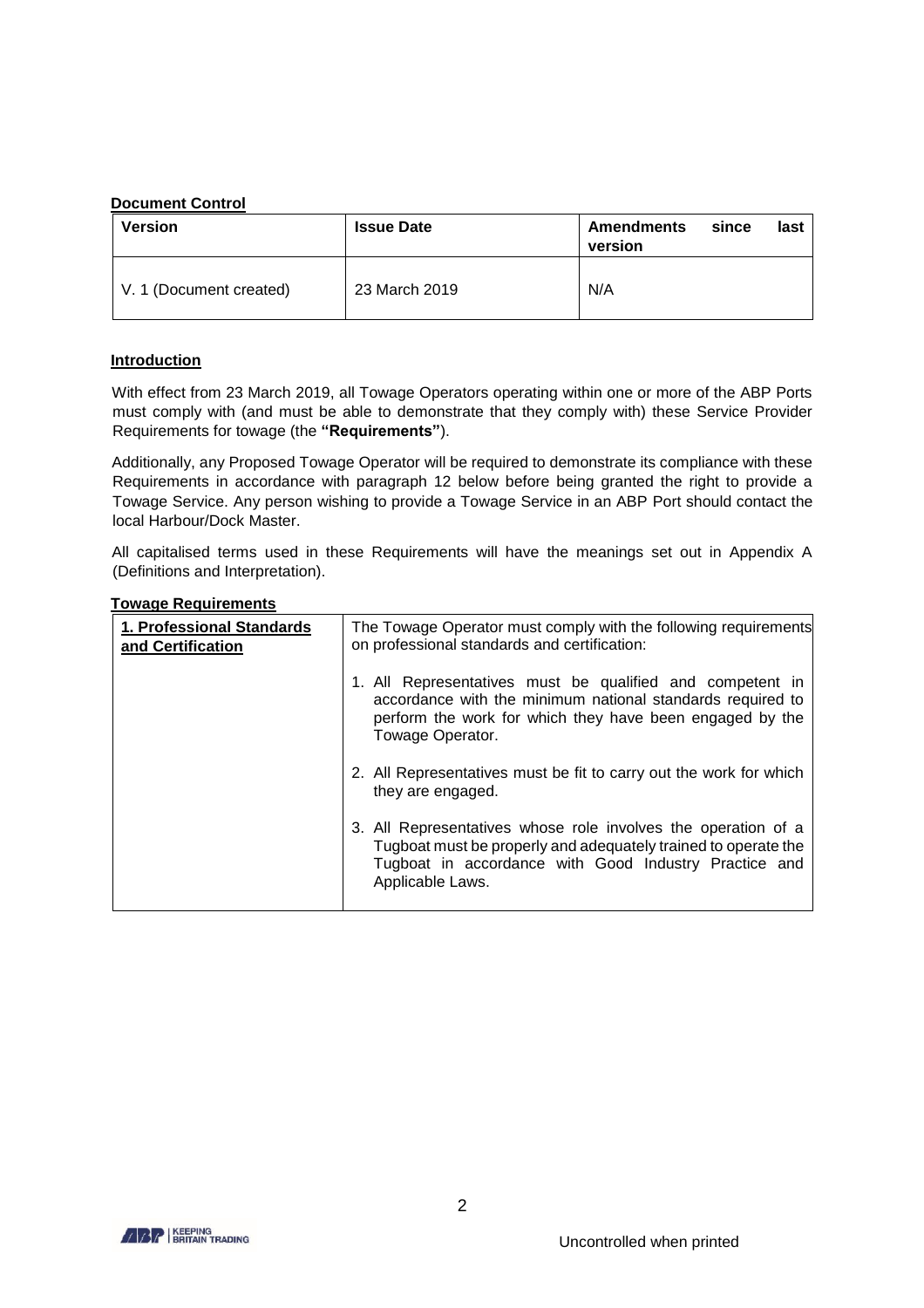## **Document Control**

| <b>Version</b>          | <b>Issue Date</b> | <b>Amendments</b><br>since<br>last<br>version |
|-------------------------|-------------------|-----------------------------------------------|
| V. 1 (Document created) | 23 March 2019     | N/A                                           |

# **Introduction**

With effect from 23 March 2019, all Towage Operators operating within one or more of the ABP Ports must comply with (and must be able to demonstrate that they comply with) these Service Provider Requirements for towage (the **"Requirements"**).

Additionally, any Proposed Towage Operator will be required to demonstrate its compliance with these Requirements in accordance with paragraph 12 below before being granted the right to provide a Towage Service. Any person wishing to provide a Towage Service in an ABP Port should contact the local Harbour/Dock Master.

All capitalised terms used in these Requirements will have the meanings set out in Appendix A (Definitions and Interpretation).

| בטווטווט וועשטו טאט ווע                        |                                                                                                                                                                                                              |
|------------------------------------------------|--------------------------------------------------------------------------------------------------------------------------------------------------------------------------------------------------------------|
| 1. Professional Standards<br>and Certification | The Towage Operator must comply with the following requirements<br>on professional standards and certification:                                                                                              |
|                                                | 1. All Representatives must be qualified and competent in<br>accordance with the minimum national standards required to<br>perform the work for which they have been engaged by the<br>Towage Operator.      |
|                                                | 2. All Representatives must be fit to carry out the work for which<br>they are engaged.                                                                                                                      |
|                                                | 3. All Representatives whose role involves the operation of a<br>Tugboat must be properly and adequately trained to operate the<br>Tugboat in accordance with Good Industry Practice and<br>Applicable Laws. |
|                                                |                                                                                                                                                                                                              |

## **Towage Requirements**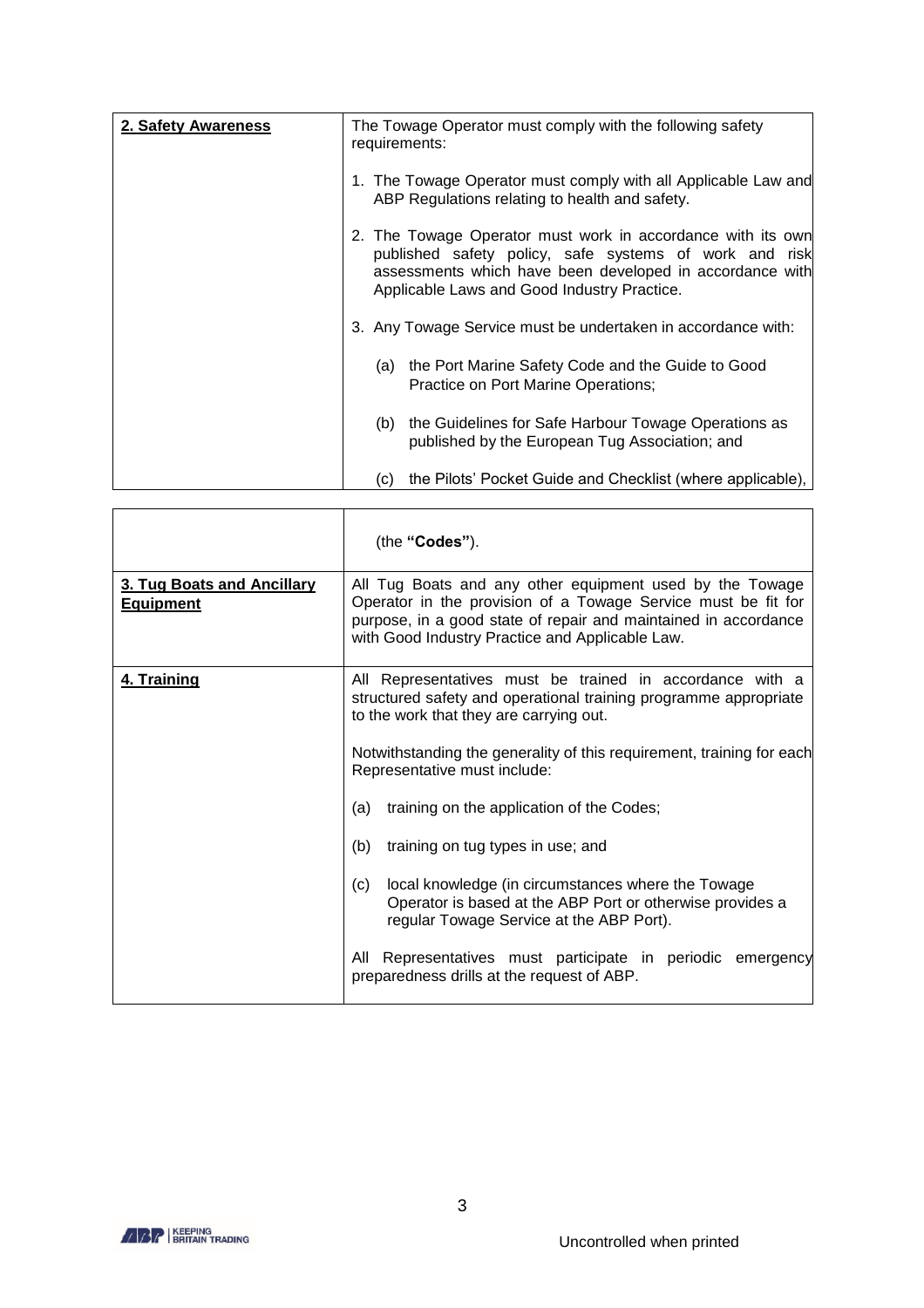| 2. Safety Awareness | The Towage Operator must comply with the following safety<br>requirements:                                                                                                                                                       |
|---------------------|----------------------------------------------------------------------------------------------------------------------------------------------------------------------------------------------------------------------------------|
|                     | 1. The Towage Operator must comply with all Applicable Law and<br>ABP Regulations relating to health and safety.                                                                                                                 |
|                     | 2. The Towage Operator must work in accordance with its own<br>published safety policy, safe systems of work and risk<br>assessments which have been developed in accordance with<br>Applicable Laws and Good Industry Practice. |
|                     | 3. Any Towage Service must be undertaken in accordance with:                                                                                                                                                                     |
|                     | the Port Marine Safety Code and the Guide to Good<br>(a)<br>Practice on Port Marine Operations;                                                                                                                                  |
|                     | the Guidelines for Safe Harbour Towage Operations as<br>(b)<br>published by the European Tug Association; and                                                                                                                    |
|                     | the Pilots' Pocket Guide and Checklist (where applicable),<br>(c)                                                                                                                                                                |

|                                                | (the "Codes").                                                                                                                                                                                                                                  |
|------------------------------------------------|-------------------------------------------------------------------------------------------------------------------------------------------------------------------------------------------------------------------------------------------------|
| 3. Tug Boats and Ancillary<br><b>Equipment</b> | All Tug Boats and any other equipment used by the Towage<br>Operator in the provision of a Towage Service must be fit for<br>purpose, in a good state of repair and maintained in accordance<br>with Good Industry Practice and Applicable Law. |
| 4. Training                                    | All Representatives must be trained in accordance with a<br>structured safety and operational training programme appropriate<br>to the work that they are carrying out.                                                                         |
|                                                | Notwithstanding the generality of this requirement, training for each<br>Representative must include:                                                                                                                                           |
|                                                | training on the application of the Codes;<br>(a)                                                                                                                                                                                                |
|                                                | (b)<br>training on tug types in use; and                                                                                                                                                                                                        |
|                                                | (c)<br>local knowledge (in circumstances where the Towage<br>Operator is based at the ABP Port or otherwise provides a<br>regular Towage Service at the ABP Port).                                                                              |
|                                                | Representatives must participate in periodic emergency<br>All<br>preparedness drills at the request of ABP.                                                                                                                                     |

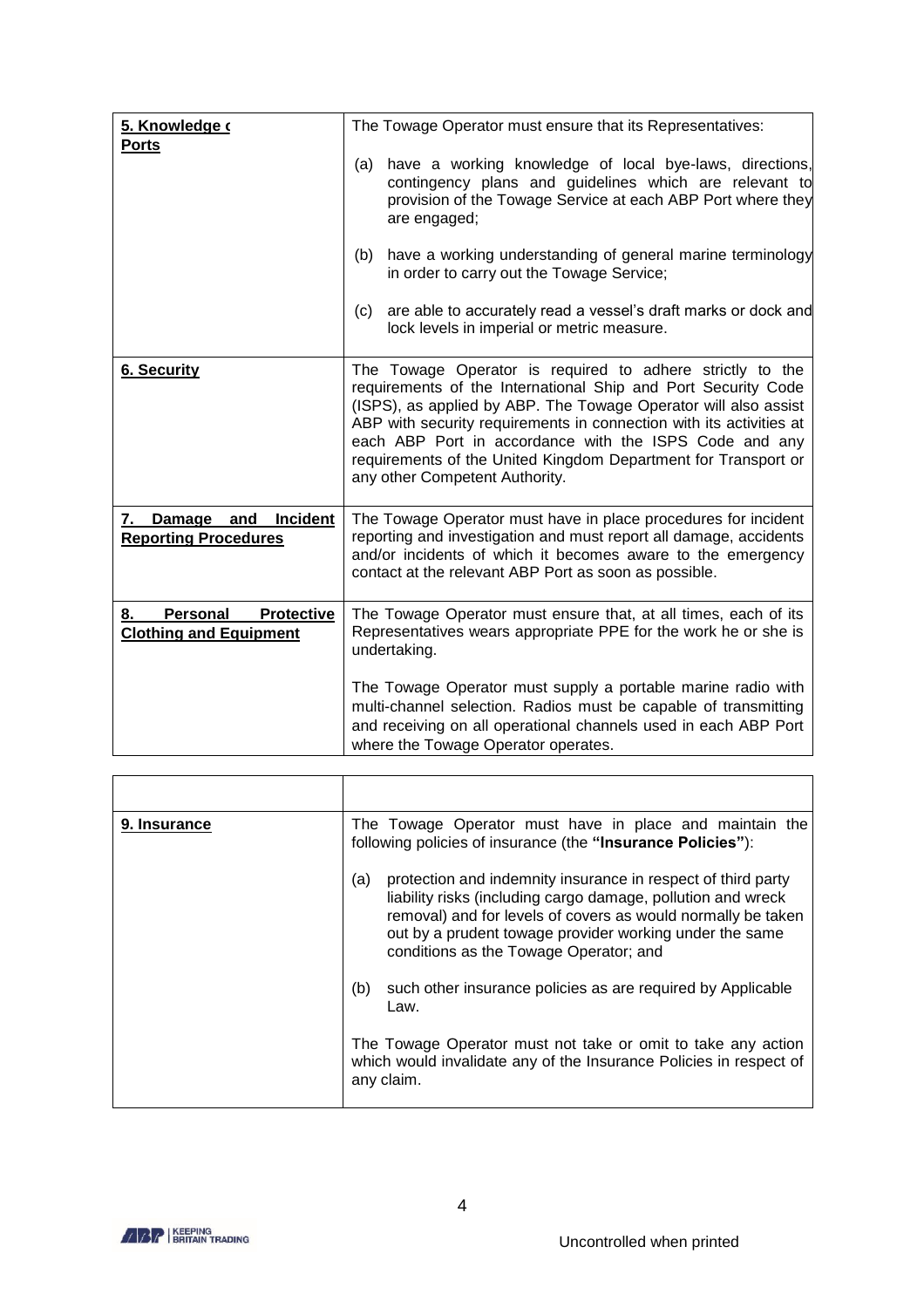| 5. Knowledge o<br><b>Ports</b>                                       | The Towage Operator must ensure that its Representatives:                                                                                                                                                                                                                                                                                                                                                                          |
|----------------------------------------------------------------------|------------------------------------------------------------------------------------------------------------------------------------------------------------------------------------------------------------------------------------------------------------------------------------------------------------------------------------------------------------------------------------------------------------------------------------|
|                                                                      | have a working knowledge of local bye-laws, directions,<br>(a)<br>contingency plans and guidelines which are relevant to<br>provision of the Towage Service at each ABP Port where they<br>are engaged;                                                                                                                                                                                                                            |
|                                                                      | have a working understanding of general marine terminology<br>(b)<br>in order to carry out the Towage Service;                                                                                                                                                                                                                                                                                                                     |
|                                                                      | are able to accurately read a vessel's draft marks or dock and<br>(c)<br>lock levels in imperial or metric measure.                                                                                                                                                                                                                                                                                                                |
| <b>6. Security</b>                                                   | The Towage Operator is required to adhere strictly to the<br>requirements of the International Ship and Port Security Code<br>(ISPS), as applied by ABP. The Towage Operator will also assist<br>ABP with security requirements in connection with its activities at<br>each ABP Port in accordance with the ISPS Code and any<br>requirements of the United Kingdom Department for Transport or<br>any other Competent Authority. |
| Incident<br>7. Damage and<br><b>Reporting Procedures</b>             | The Towage Operator must have in place procedures for incident<br>reporting and investigation and must report all damage, accidents<br>and/or incidents of which it becomes aware to the emergency<br>contact at the relevant ABP Port as soon as possible.                                                                                                                                                                        |
| <b>Protective</b><br>Personal<br>8.<br><b>Clothing and Equipment</b> | The Towage Operator must ensure that, at all times, each of its<br>Representatives wears appropriate PPE for the work he or she is<br>undertaking.                                                                                                                                                                                                                                                                                 |
|                                                                      | The Towage Operator must supply a portable marine radio with<br>multi-channel selection. Radios must be capable of transmitting<br>and receiving on all operational channels used in each ABP Port<br>where the Towage Operator operates.                                                                                                                                                                                          |

| 9. Insurance | The Towage Operator must have in place and maintain the<br>following policies of insurance (the "Insurance Policies"):                                                                                                                                                                                   |
|--------------|----------------------------------------------------------------------------------------------------------------------------------------------------------------------------------------------------------------------------------------------------------------------------------------------------------|
|              | protection and indemnity insurance in respect of third party<br>(a)<br>liability risks (including cargo damage, pollution and wreck<br>removal) and for levels of covers as would normally be taken<br>out by a prudent towage provider working under the same<br>conditions as the Towage Operator; and |
|              | such other insurance policies as are required by Applicable<br>(b)<br>Law.                                                                                                                                                                                                                               |
|              | The Towage Operator must not take or omit to take any action<br>which would invalidate any of the Insurance Policies in respect of<br>any claim.                                                                                                                                                         |

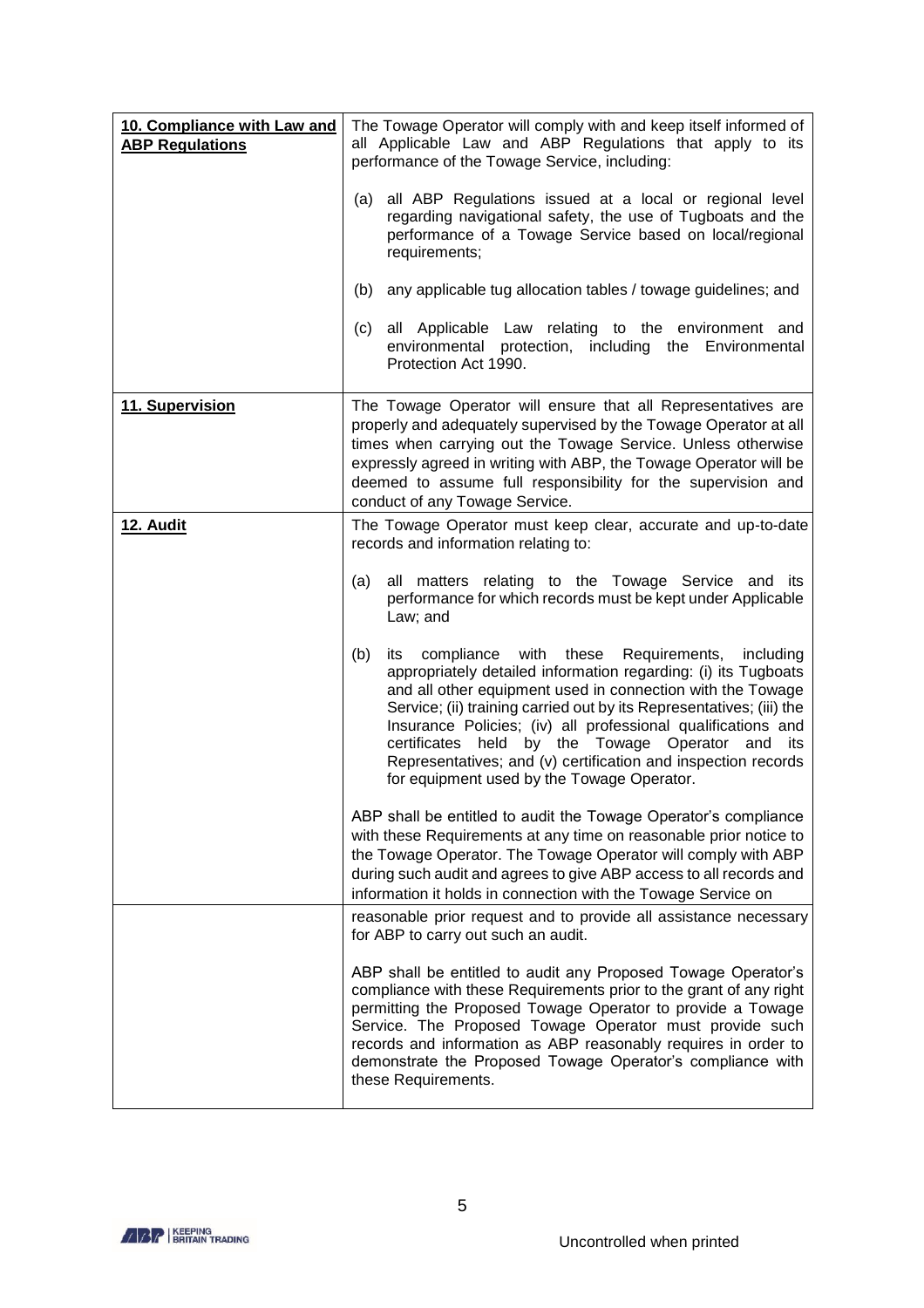| 10. Compliance with Law and<br><b>ABP Regulations</b> | The Towage Operator will comply with and keep itself informed of<br>all Applicable Law and ABP Regulations that apply to its<br>performance of the Towage Service, including:                                                                                                                                                                                                                                                                                                                                   |
|-------------------------------------------------------|-----------------------------------------------------------------------------------------------------------------------------------------------------------------------------------------------------------------------------------------------------------------------------------------------------------------------------------------------------------------------------------------------------------------------------------------------------------------------------------------------------------------|
|                                                       | (a) all ABP Regulations issued at a local or regional level<br>regarding navigational safety, the use of Tugboats and the<br>performance of a Towage Service based on local/regional<br>requirements;                                                                                                                                                                                                                                                                                                           |
|                                                       | (b) any applicable tug allocation tables / towage guidelines; and                                                                                                                                                                                                                                                                                                                                                                                                                                               |
|                                                       | (c) all Applicable Law relating to the environment and<br>environmental protection, including the Environmental<br>Protection Act 1990.                                                                                                                                                                                                                                                                                                                                                                         |
| 11. Supervision                                       | The Towage Operator will ensure that all Representatives are<br>properly and adequately supervised by the Towage Operator at all<br>times when carrying out the Towage Service. Unless otherwise<br>expressly agreed in writing with ABP, the Towage Operator will be<br>deemed to assume full responsibility for the supervision and<br>conduct of any Towage Service.                                                                                                                                         |
| <b>12. Audit</b>                                      | The Towage Operator must keep clear, accurate and up-to-date<br>records and information relating to:                                                                                                                                                                                                                                                                                                                                                                                                            |
|                                                       | all matters relating to the Towage Service and its<br>(a)<br>performance for which records must be kept under Applicable<br>Law; and                                                                                                                                                                                                                                                                                                                                                                            |
|                                                       | compliance with these Requirements,<br>(b)<br>including<br>its<br>appropriately detailed information regarding: (i) its Tugboats<br>and all other equipment used in connection with the Towage<br>Service; (ii) training carried out by its Representatives; (iii) the<br>Insurance Policies; (iv) all professional qualifications and<br>certificates held<br>by the Towage Operator and<br>its<br>Representatives; and (v) certification and inspection records<br>for equipment used by the Towage Operator. |
|                                                       | ABP shall be entitled to audit the Towage Operator's compliance<br>with these Requirements at any time on reasonable prior notice to<br>the Towage Operator. The Towage Operator will comply with ABP<br>during such audit and agrees to give ABP access to all records and<br>information it holds in connection with the Towage Service on                                                                                                                                                                    |
|                                                       | reasonable prior request and to provide all assistance necessary<br>for ABP to carry out such an audit.                                                                                                                                                                                                                                                                                                                                                                                                         |
|                                                       | ABP shall be entitled to audit any Proposed Towage Operator's<br>compliance with these Requirements prior to the grant of any right<br>permitting the Proposed Towage Operator to provide a Towage<br>Service. The Proposed Towage Operator must provide such<br>records and information as ABP reasonably requires in order to<br>demonstrate the Proposed Towage Operator's compliance with<br>these Requirements.                                                                                            |

5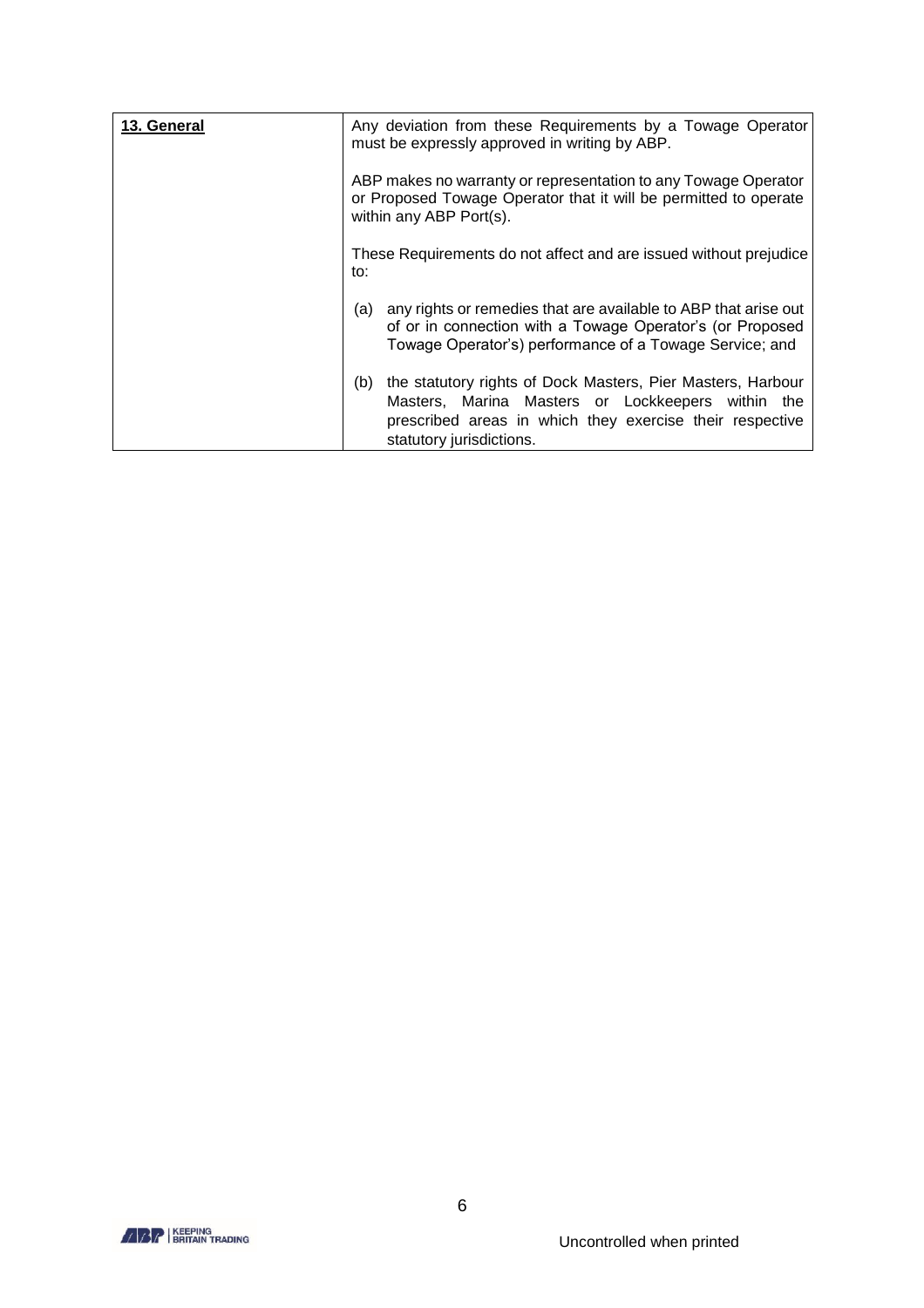| 13. General | Any deviation from these Requirements by a Towage Operator<br>must be expressly approved in writing by ABP.                                                                                                     |
|-------------|-----------------------------------------------------------------------------------------------------------------------------------------------------------------------------------------------------------------|
|             | ABP makes no warranty or representation to any Towage Operator<br>or Proposed Towage Operator that it will be permitted to operate<br>within any ABP Port(s).                                                   |
|             | These Requirements do not affect and are issued without prejudice<br>to:                                                                                                                                        |
|             | any rights or remedies that are available to ABP that arise out<br>(a)<br>of or in connection with a Towage Operator's (or Proposed<br>Towage Operator's) performance of a Towage Service; and                  |
|             | the statutory rights of Dock Masters, Pier Masters, Harbour<br>(b)<br>Masters, Marina Masters or Lockkeepers within the<br>prescribed areas in which they exercise their respective<br>statutory jurisdictions. |